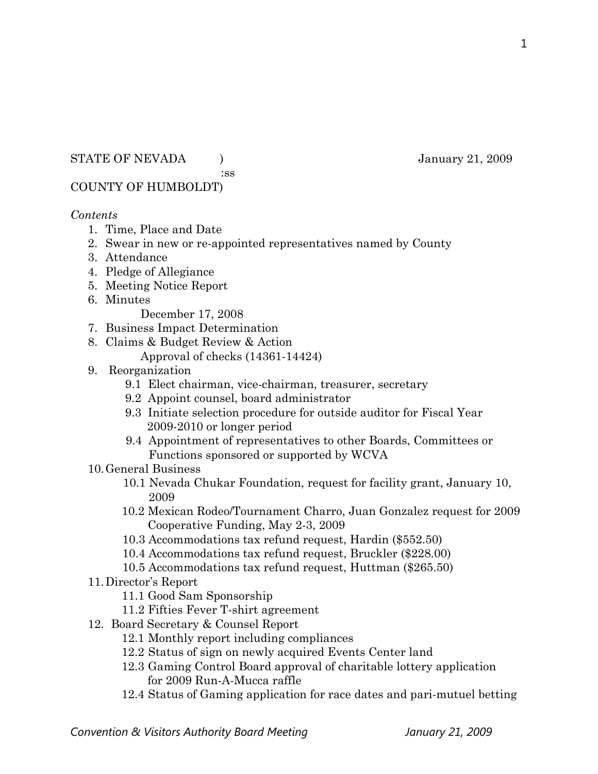### STATE OF NEVADA (3009) January 21, 2009

:ss

## COUNTY OF HUMBOLDT)

### *Contents*

- 1. Time, Place and Date
- 2. Swear in new or re-appointed representatives named by County
- 3. Attendance
- 4. Pledge of Allegiance
- 5. Meeting Notice Report
- 6. Minutes

December 17, 2008

- 7. Business Impact Determination
- 8. Claims & Budget Review & Action
	- Approval of checks (14361-14424)
- 9. Reorganization
	- 9.1 Elect chairman, vice-chairman, treasurer, secretary
	- 9.2 Appoint counsel, board administrator
	- 9.3 Initiate selection procedure for outside auditor for Fiscal Year 2009-2010 or longer period
	- 9.4 Appointment of representatives to other Boards, Committees or Functions sponsored or supported by WCVA
- 10.General Business
	- 10.1 Nevada Chukar Foundation, request for facility grant, January 10, 2009
	- 10.2 Mexican Rodeo/Tournament Charro, Juan Gonzalez request for 2009 Cooperative Funding, May 2-3, 2009
	- 10.3 Accommodations tax refund request, Hardin (\$552.50)
	- 10.4 Accommodations tax refund request, Bruckler (\$228.00)
	- 10.5 Accommodations tax refund request, Huttman (\$265.50)
- 11.Director's Report
	- 11.1 Good Sam Sponsorship
	- 11.2 Fifties Fever T-shirt agreement
- 12. Board Secretary & Counsel Report
	- 12.1 Monthly report including compliances
	- 12.2 Status of sign on newly acquired Events Center land
	- 12.3 Gaming Control Board approval of charitable lottery application for 2009 Run-A-Mucca raffle
	- 12.4 Status of Gaming application for race dates and pari-mutuel betting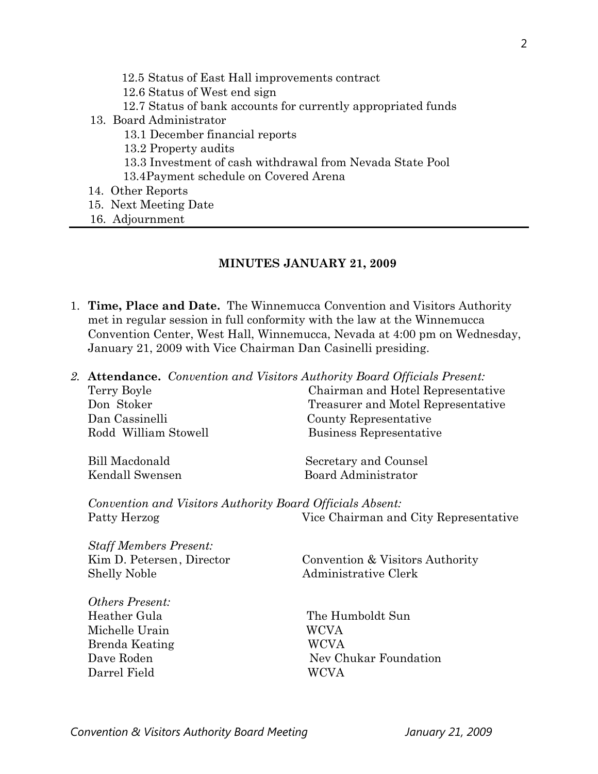- 12.5 Status of East Hall improvements contract 12.6 Status of West end sign 12.7 Status of bank accounts for currently appropriated funds 13. Board Administrator 13.1 December financial reports 13.2 Property audits 13.3 Investment of cash withdrawal from Nevada State Pool 13.4Payment schedule on Covered Arena 14. Other Reports 15. Next Meeting Date
	- 16. Adjournment

### **MINUTES JANUARY 21, 2009**

- 1. **Time, Place and Date.** The Winnemucca Convention and Visitors Authority met in regular session in full conformity with the law at the Winnemucca Convention Center, West Hall, Winnemucca, Nevada at 4:00 pm on Wednesday, January 21, 2009 with Vice Chairman Dan Casinelli presiding.
- *2.* **Attendance.** *Convention and Visitors Authority Board Officials Present:*  Terry Boyle Chairman and Hotel Representative Don Stoker Treasurer and Motel Representative Dan Cassinelli County Representative Rodd William Stowell Business Representative Bill Macdonald Secretary and Counsel Kendall Swensen Board Administrator *Convention and Visitors Authority Board Officials Absent:*  Patty Herzog Vice Chairman and City Representative *Staff Members Present:*  Kim D. Petersen, Director Convention & Visitors Authority Shelly Noble Administrative Clerk *Others Present:*  Heather Gula The Humboldt Sun Michelle Urain WCVA
	- Brenda Keating WCVA Dave Roden Nev Chukar Foundation Darrel Field WCVA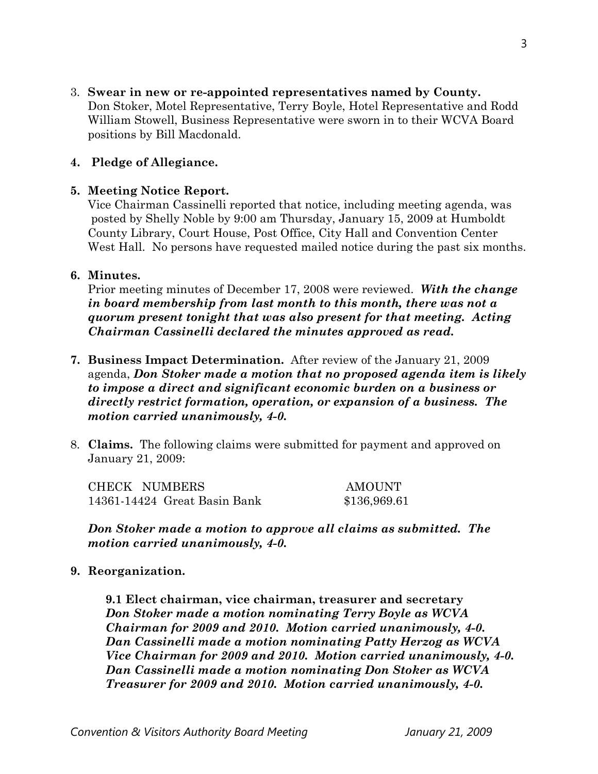3. **Swear in new or re-appointed representatives named by County.** Don Stoker, Motel Representative, Terry Boyle, Hotel Representative and Rodd William Stowell, Business Representative were sworn in to their WCVA Board positions by Bill Macdonald.

### **4. Pledge of Allegiance.**

## **5. Meeting Notice Report.**

Vice Chairman Cassinelli reported that notice, including meeting agenda, was posted by Shelly Noble by 9:00 am Thursday, January 15, 2009 at Humboldt County Library, Court House, Post Office, City Hall and Convention Center West Hall. No persons have requested mailed notice during the past six months.

## **6. Minutes.**

Prior meeting minutes of December 17, 2008 were reviewed. *With the change in board membership from last month to this month, there was not a quorum present tonight that was also present for that meeting. Acting Chairman Cassinelli declared the minutes approved as read.* 

- **7. Business Impact Determination.** After review of the January 21, 2009 agenda, *Don Stoker made a motion that no proposed agenda item is likely to impose a direct and significant economic burden on a business or directly restrict formation, operation, or expansion of a business. The motion carried unanimously, 4-0.*
- 8. **Claims.** The following claims were submitted for payment and approved on January 21, 2009:

| CHECK NUMBERS                | <b>AMOUNT</b> |
|------------------------------|---------------|
| 14361-14424 Great Basin Bank | \$136,969.61  |

*Don Stoker made a motion to approve all claims as submitted. The motion carried unanimously, 4-0.* 

### **9. Reorganization.**

**9.1 Elect chairman, vice chairman, treasurer and secretary**  *Don Stoker made a motion nominating Terry Boyle as WCVA Chairman for 2009 and 2010. Motion carried unanimously, 4-0. Dan Cassinelli made a motion nominating Patty Herzog as WCVA Vice Chairman for 2009 and 2010. Motion carried unanimously, 4-0. Dan Cassinelli made a motion nominating Don Stoker as WCVA Treasurer for 2009 and 2010. Motion carried unanimously, 4-0.*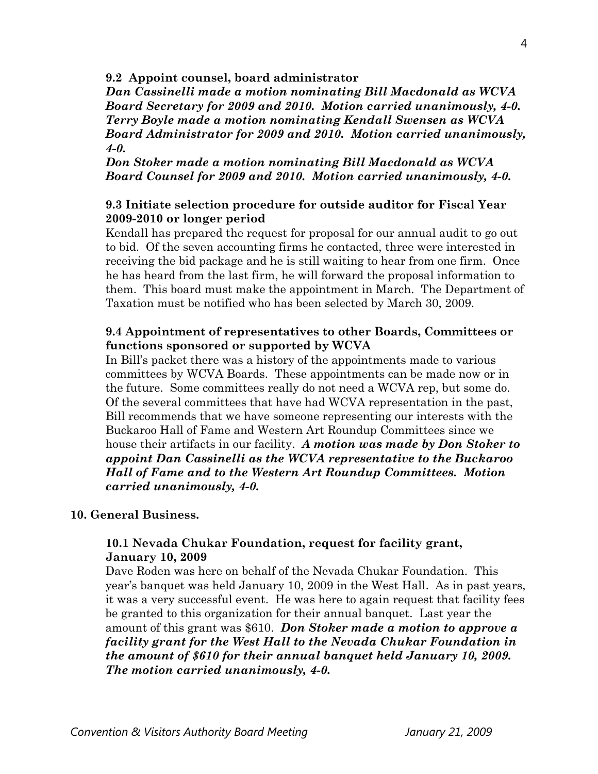**9.2 Appoint counsel, board administrator** 

*Dan Cassinelli made a motion nominating Bill Macdonald as WCVA Board Secretary for 2009 and 2010. Motion carried unanimously, 4-0. Terry Boyle made a motion nominating Kendall Swensen as WCVA Board Administrator for 2009 and 2010. Motion carried unanimously, 4-0.* 

*Don Stoker made a motion nominating Bill Macdonald as WCVA Board Counsel for 2009 and 2010. Motion carried unanimously, 4-0.* 

### **9.3 Initiate selection procedure for outside auditor for Fiscal Year 2009-2010 or longer period**

Kendall has prepared the request for proposal for our annual audit to go out to bid. Of the seven accounting firms he contacted, three were interested in receiving the bid package and he is still waiting to hear from one firm. Once he has heard from the last firm, he will forward the proposal information to them. This board must make the appointment in March. The Department of Taxation must be notified who has been selected by March 30, 2009.

### **9.4 Appointment of representatives to other Boards, Committees or functions sponsored or supported by WCVA**

In Bill's packet there was a history of the appointments made to various committees by WCVA Boards. These appointments can be made now or in the future. Some committees really do not need a WCVA rep, but some do. Of the several committees that have had WCVA representation in the past, Bill recommends that we have someone representing our interests with the Buckaroo Hall of Fame and Western Art Roundup Committees since we house their artifacts in our facility. *A motion was made by Don Stoker to appoint Dan Cassinelli as the WCVA representative to the Buckaroo Hall of Fame and to the Western Art Roundup Committees. Motion carried unanimously, 4-0.* 

#### **10. General Business.**

### **10.1 Nevada Chukar Foundation, request for facility grant, January 10, 2009**

Dave Roden was here on behalf of the Nevada Chukar Foundation. This year's banquet was held January 10, 2009 in the West Hall. As in past years, it was a very successful event. He was here to again request that facility fees be granted to this organization for their annual banquet. Last year the amount of this grant was \$610. *Don Stoker made a motion to approve a facility grant for the West Hall to the Nevada Chukar Foundation in the amount of \$610 for their annual banquet held January 10, 2009. The motion carried unanimously, 4-0.*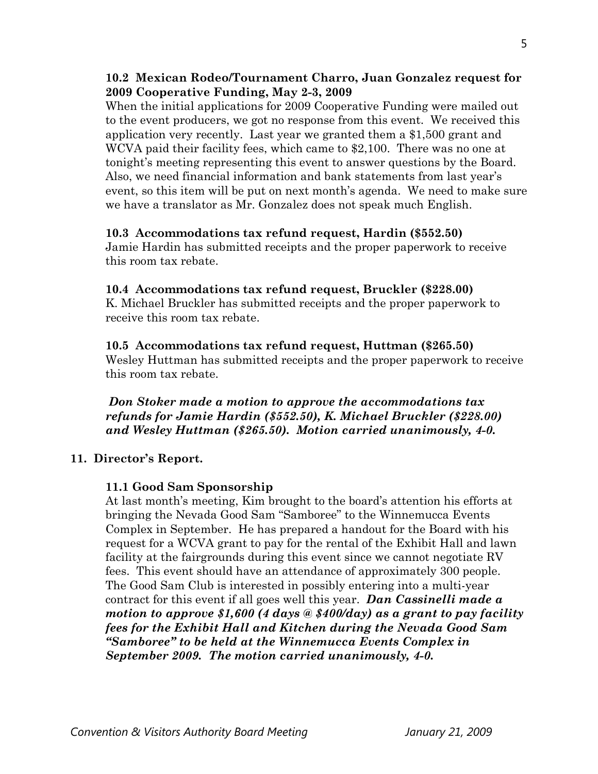## **10.2 Mexican Rodeo/Tournament Charro, Juan Gonzalez request for 2009 Cooperative Funding, May 2-3, 2009**

When the initial applications for 2009 Cooperative Funding were mailed out to the event producers, we got no response from this event. We received this application very recently. Last year we granted them a \$1,500 grant and WCVA paid their facility fees, which came to \$2,100. There was no one at tonight's meeting representing this event to answer questions by the Board. Also, we need financial information and bank statements from last year's event, so this item will be put on next month's agenda. We need to make sure we have a translator as Mr. Gonzalez does not speak much English.

## **10.3 Accommodations tax refund request, Hardin (\$552.50)**

Jamie Hardin has submitted receipts and the proper paperwork to receive this room tax rebate.

## **10.4 Accommodations tax refund request, Bruckler (\$228.00)**

K. Michael Bruckler has submitted receipts and the proper paperwork to receive this room tax rebate.

## **10.5 Accommodations tax refund request, Huttman (\$265.50)**

Wesley Huttman has submitted receipts and the proper paperwork to receive this room tax rebate.

*Don Stoker made a motion to approve the accommodations tax refunds for Jamie Hardin (\$552.50), K. Michael Bruckler (\$228.00) and Wesley Huttman (\$265.50). Motion carried unanimously, 4-0.* 

# **11. Director's Report.**

# **11.1 Good Sam Sponsorship**

At last month's meeting, Kim brought to the board's attention his efforts at bringing the Nevada Good Sam "Samboree" to the Winnemucca Events Complex in September. He has prepared a handout for the Board with his request for a WCVA grant to pay for the rental of the Exhibit Hall and lawn facility at the fairgrounds during this event since we cannot negotiate RV fees. This event should have an attendance of approximately 300 people. The Good Sam Club is interested in possibly entering into a multi-year contract for this event if all goes well this year. *Dan Cassinelli made a motion to approve \$1,600 (4 days @ \$400/day) as a grant to pay facility fees for the Exhibit Hall and Kitchen during the Nevada Good Sam "Samboree" to be held at the Winnemucca Events Complex in September 2009. The motion carried unanimously, 4-0.*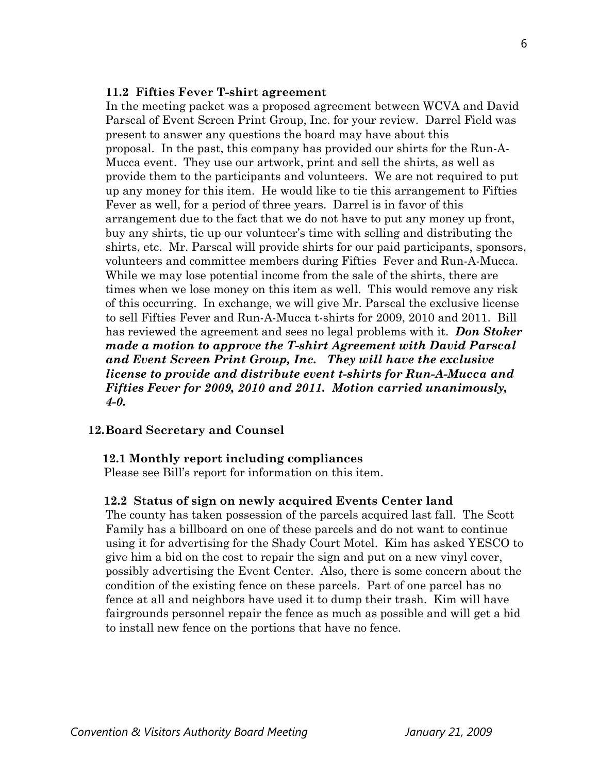#### **11.2 Fifties Fever T-shirt agreement**

 In the meeting packet was a proposed agreement between WCVA and David Parscal of Event Screen Print Group, Inc. for your review. Darrel Field was present to answer any questions the board may have about this proposal. In the past, this company has provided our shirts for the Run-A-Mucca event. They use our artwork, print and sell the shirts, as well as provide them to the participants and volunteers. We are not required to put up any money for this item. He would like to tie this arrangement to Fifties Fever as well, for a period of three years. Darrel is in favor of this arrangement due to the fact that we do not have to put any money up front, buy any shirts, tie up our volunteer's time with selling and distributing the shirts, etc. Mr. Parscal will provide shirts for our paid participants, sponsors, volunteers and committee members during Fifties Fever and Run-A-Mucca. While we may lose potential income from the sale of the shirts, there are times when we lose money on this item as well. This would remove any risk of this occurring. In exchange, we will give Mr. Parscal the exclusive license to sell Fifties Fever and Run-A-Mucca t-shirts for 2009, 2010 and 2011. Bill has reviewed the agreement and sees no legal problems with it. *Don Stoker made a motion to approve the T-shirt Agreement with David Parscal and Event Screen Print Group, Inc. They will have the exclusive license to provide and distribute event t-shirts for Run-A-Mucca and Fifties Fever for 2009, 2010 and 2011. Motion carried unanimously, 4-0.* 

#### **12.Board Secretary and Counsel**

#### **12.1 Monthly report including compliances**

Please see Bill's report for information on this item.

#### **12.2 Status of sign on newly acquired Events Center land**

The county has taken possession of the parcels acquired last fall. The Scott Family has a billboard on one of these parcels and do not want to continue using it for advertising for the Shady Court Motel. Kim has asked YESCO to give him a bid on the cost to repair the sign and put on a new vinyl cover, possibly advertising the Event Center. Also, there is some concern about the condition of the existing fence on these parcels. Part of one parcel has no fence at all and neighbors have used it to dump their trash. Kim will have fairgrounds personnel repair the fence as much as possible and will get a bid to install new fence on the portions that have no fence.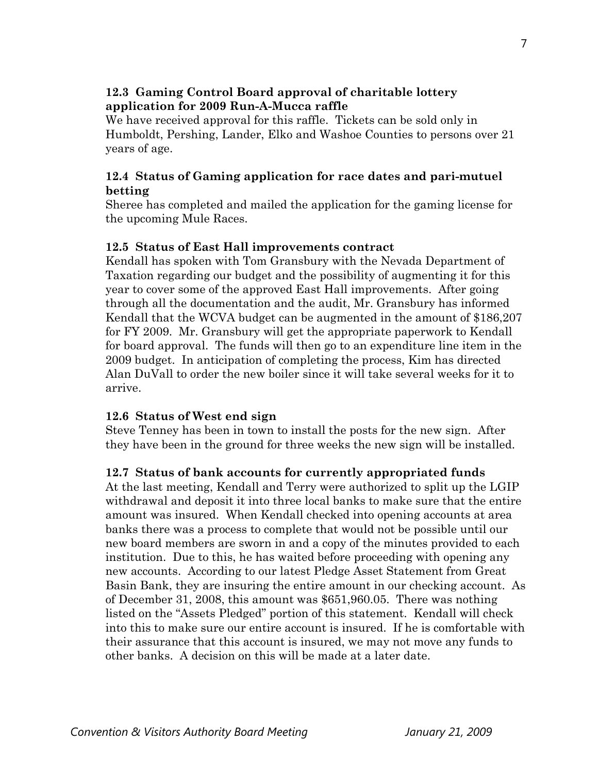# **12.3 Gaming Control Board approval of charitable lottery application for 2009 Run-A-Mucca raffle**

We have received approval for this raffle. Tickets can be sold only in Humboldt, Pershing, Lander, Elko and Washoe Counties to persons over 21 years of age.

# **12.4 Status of Gaming application for race dates and pari-mutuel betting**

Sheree has completed and mailed the application for the gaming license for the upcoming Mule Races.

## **12.5 Status of East Hall improvements contract**

Kendall has spoken with Tom Gransbury with the Nevada Department of Taxation regarding our budget and the possibility of augmenting it for this year to cover some of the approved East Hall improvements. After going through all the documentation and the audit, Mr. Gransbury has informed Kendall that the WCVA budget can be augmented in the amount of \$186,207 for FY 2009. Mr. Gransbury will get the appropriate paperwork to Kendall for board approval. The funds will then go to an expenditure line item in the 2009 budget. In anticipation of completing the process, Kim has directed Alan DuVall to order the new boiler since it will take several weeks for it to arrive.

### **12.6 Status of West end sign**

Steve Tenney has been in town to install the posts for the new sign. After they have been in the ground for three weeks the new sign will be installed.

# **12.7 Status of bank accounts for currently appropriated funds**

At the last meeting, Kendall and Terry were authorized to split up the LGIP withdrawal and deposit it into three local banks to make sure that the entire amount was insured. When Kendall checked into opening accounts at area banks there was a process to complete that would not be possible until our new board members are sworn in and a copy of the minutes provided to each institution. Due to this, he has waited before proceeding with opening any new accounts. According to our latest Pledge Asset Statement from Great Basin Bank, they are insuring the entire amount in our checking account. As of December 31, 2008, this amount was \$651,960.05. There was nothing listed on the "Assets Pledged" portion of this statement. Kendall will check into this to make sure our entire account is insured. If he is comfortable with their assurance that this account is insured, we may not move any funds to other banks. A decision on this will be made at a later date.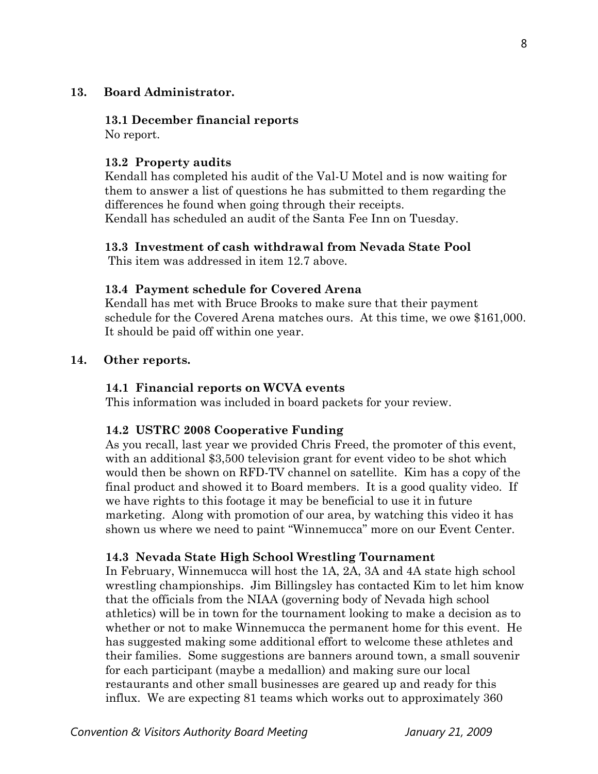### **13. Board Administrator.**

#### **13.1 December financial reports**

No report.

## **13.2 Property audits**

Kendall has completed his audit of the Val-U Motel and is now waiting for them to answer a list of questions he has submitted to them regarding the differences he found when going through their receipts. Kendall has scheduled an audit of the Santa Fee Inn on Tuesday.

### **13.3 Investment of cash withdrawal from Nevada State Pool**

This item was addressed in item 12.7 above.

## **13.4 Payment schedule for Covered Arena**

Kendall has met with Bruce Brooks to make sure that their payment schedule for the Covered Arena matches ours. At this time, we owe \$161,000. It should be paid off within one year.

### **14. Other reports.**

### **14.1 Financial reports on WCVA events**

This information was included in board packets for your review.

### **14.2 USTRC 2008 Cooperative Funding**

As you recall, last year we provided Chris Freed, the promoter of this event, with an additional \$3,500 television grant for event video to be shot which would then be shown on RFD-TV channel on satellite. Kim has a copy of the final product and showed it to Board members. It is a good quality video. If we have rights to this footage it may be beneficial to use it in future marketing. Along with promotion of our area, by watching this video it has shown us where we need to paint "Winnemucca" more on our Event Center.

### **14.3 Nevada State High School Wrestling Tournament**

In February, Winnemucca will host the 1A, 2A, 3A and 4A state high school wrestling championships. Jim Billingsley has contacted Kim to let him know that the officials from the NIAA (governing body of Nevada high school athletics) will be in town for the tournament looking to make a decision as to whether or not to make Winnemucca the permanent home for this event. He has suggested making some additional effort to welcome these athletes and their families. Some suggestions are banners around town, a small souvenir for each participant (maybe a medallion) and making sure our local restaurants and other small businesses are geared up and ready for this influx. We are expecting 81 teams which works out to approximately 360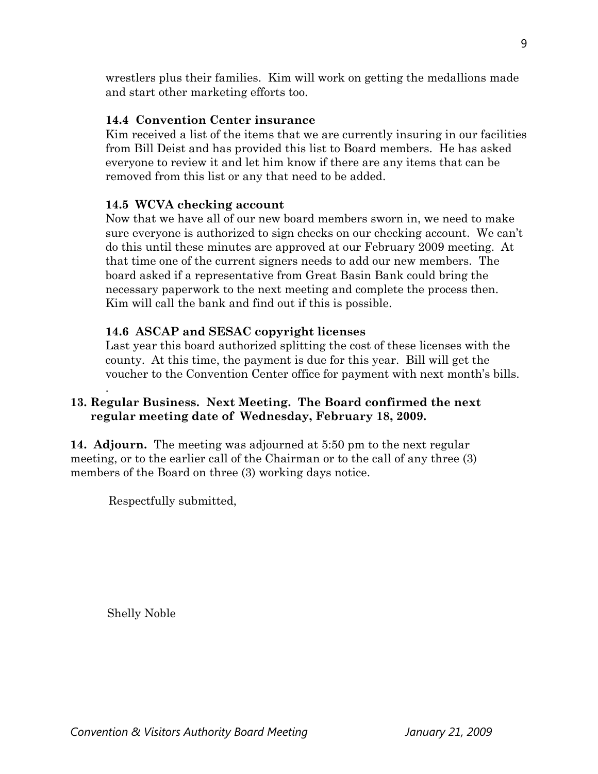wrestlers plus their families. Kim will work on getting the medallions made and start other marketing efforts too.

# **14.4 Convention Center insurance**

Kim received a list of the items that we are currently insuring in our facilities from Bill Deist and has provided this list to Board members. He has asked everyone to review it and let him know if there are any items that can be removed from this list or any that need to be added.

# **14.5 WCVA checking account**

Now that we have all of our new board members sworn in, we need to make sure everyone is authorized to sign checks on our checking account. We can't do this until these minutes are approved at our February 2009 meeting. At that time one of the current signers needs to add our new members. The board asked if a representative from Great Basin Bank could bring the necessary paperwork to the next meeting and complete the process then. Kim will call the bank and find out if this is possible.

# **14.6 ASCAP and SESAC copyright licenses**

Last year this board authorized splitting the cost of these licenses with the county. At this time, the payment is due for this year. Bill will get the voucher to the Convention Center office for payment with next month's bills.

# **13. Regular Business. Next Meeting. The Board confirmed the next regular meeting date of Wednesday, February 18, 2009.**

**14. Adjourn.** The meeting was adjourned at 5:50 pm to the next regular meeting, or to the earlier call of the Chairman or to the call of any three (3) members of the Board on three (3) working days notice.

Respectfully submitted,

Shelly Noble

.